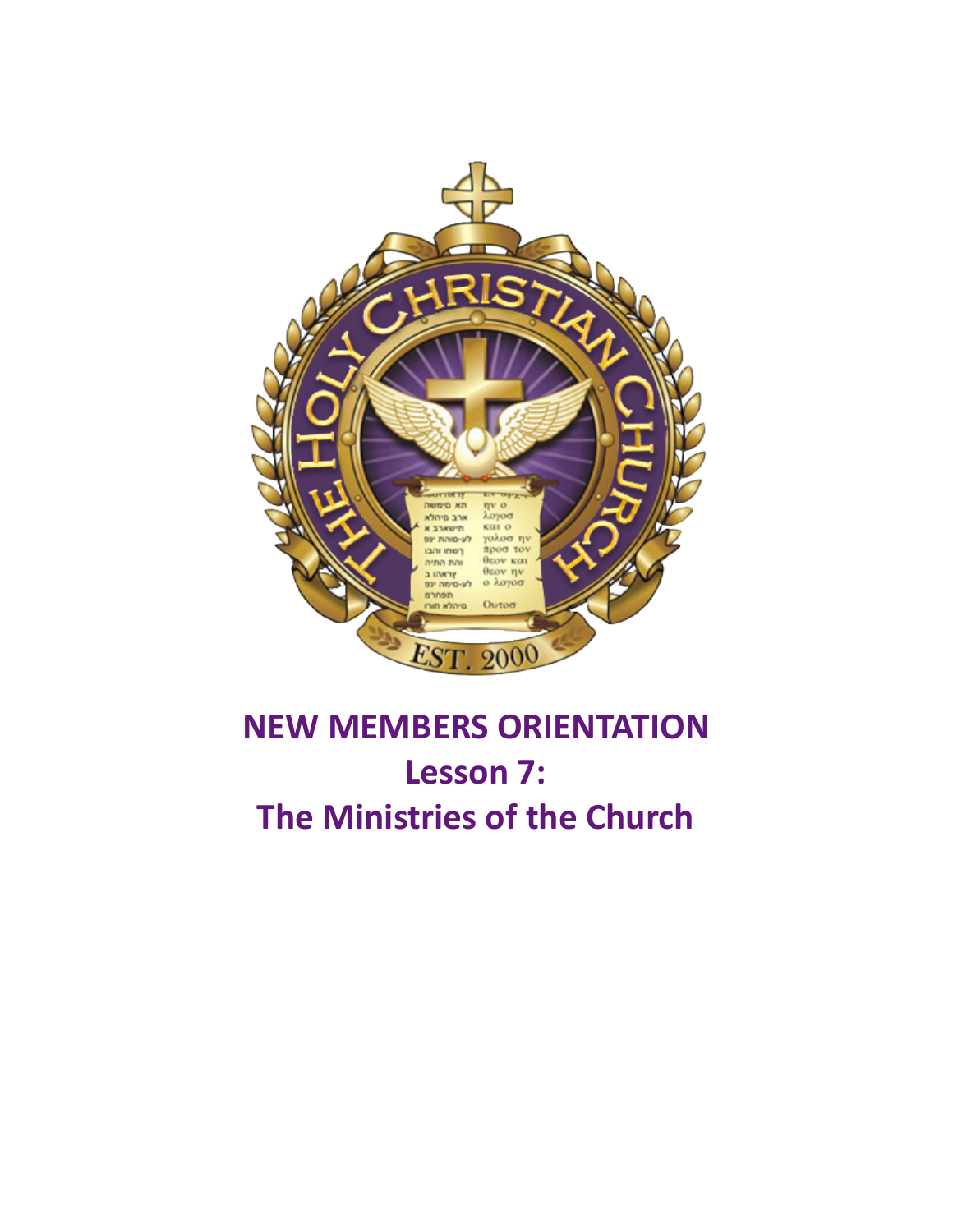

# **NEW MEMBERS ORIENTATION** Lesson 7: **The Ministries of the Church**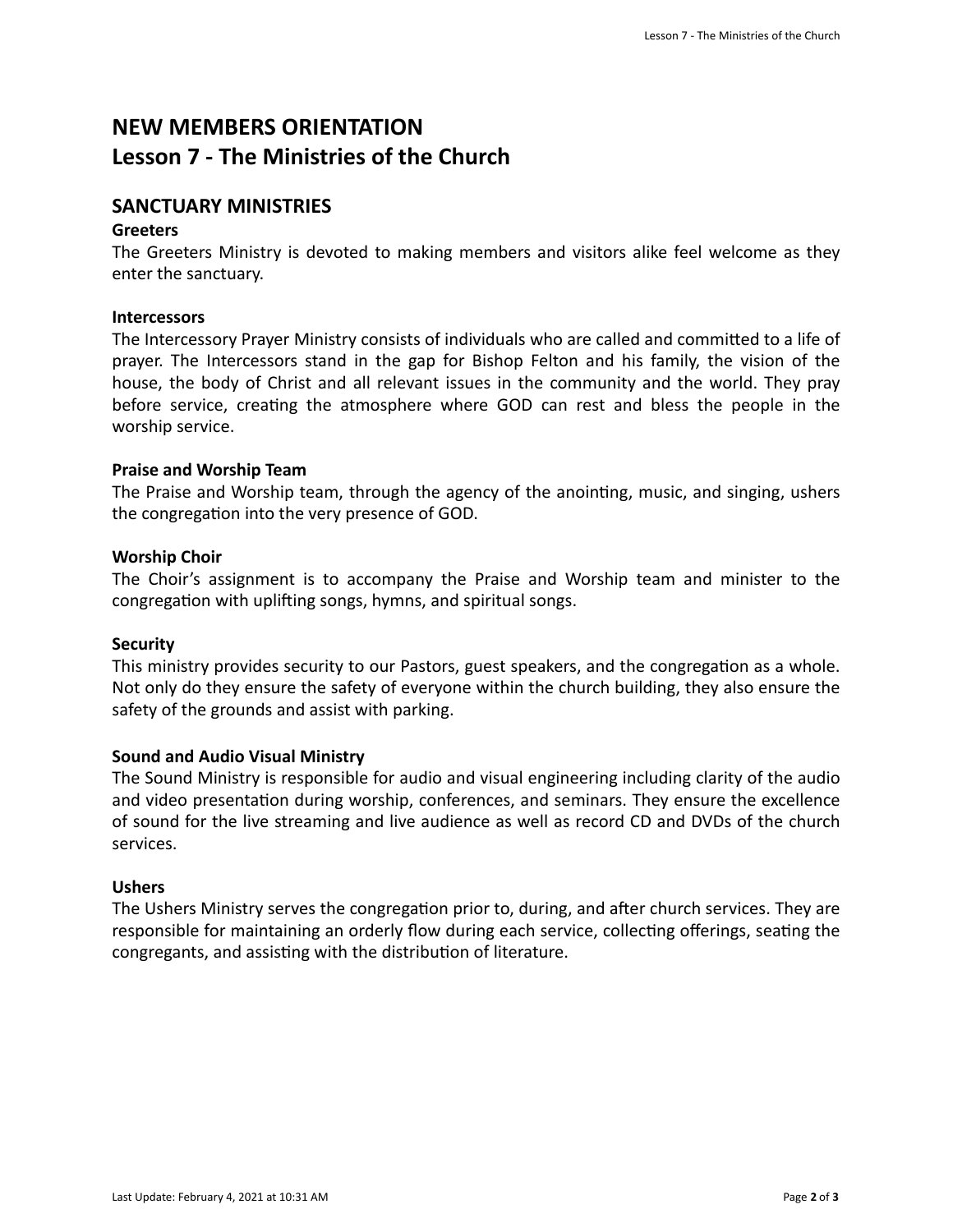# **NEW MEMBERS ORIENTATION** Lesson **7** - The Ministries of the Church

# **SANCTUARY MINISTRIES**

## **Greeters**

The Greeters Ministry is devoted to making members and visitors alike feel welcome as they enter the sanctuary.

# **Intercessors**

The Intercessory Prayer Ministry consists of individuals who are called and committed to a life of prayer. The Intercessors stand in the gap for Bishop Felton and his family, the vision of the house, the body of Christ and all relevant issues in the community and the world. They pray before service, creating the atmosphere where GOD can rest and bless the people in the worship service.

# **Praise and Worship Team**

The Praise and Worship team, through the agency of the anointing, music, and singing, ushers the congregation into the very presence of GOD.

#### **Worship Choir**

The Choir's assignment is to accompany the Praise and Worship team and minister to the congregation with uplifting songs, hymns, and spiritual songs.

#### **Security**

This ministry provides security to our Pastors, guest speakers, and the congregation as a whole. Not only do they ensure the safety of everyone within the church building, they also ensure the safety of the grounds and assist with parking.

# **Sound and Audio Visual Ministry**

The Sound Ministry is responsible for audio and visual engineering including clarity of the audio and video presentation during worship, conferences, and seminars. They ensure the excellence of sound for the live streaming and live audience as well as record CD and DVDs of the church services. 

#### **Ushers**

The Ushers Ministry serves the congregation prior to, during, and after church services. They are responsible for maintaining an orderly flow during each service, collecting offerings, seating the congregants, and assisting with the distribution of literature.